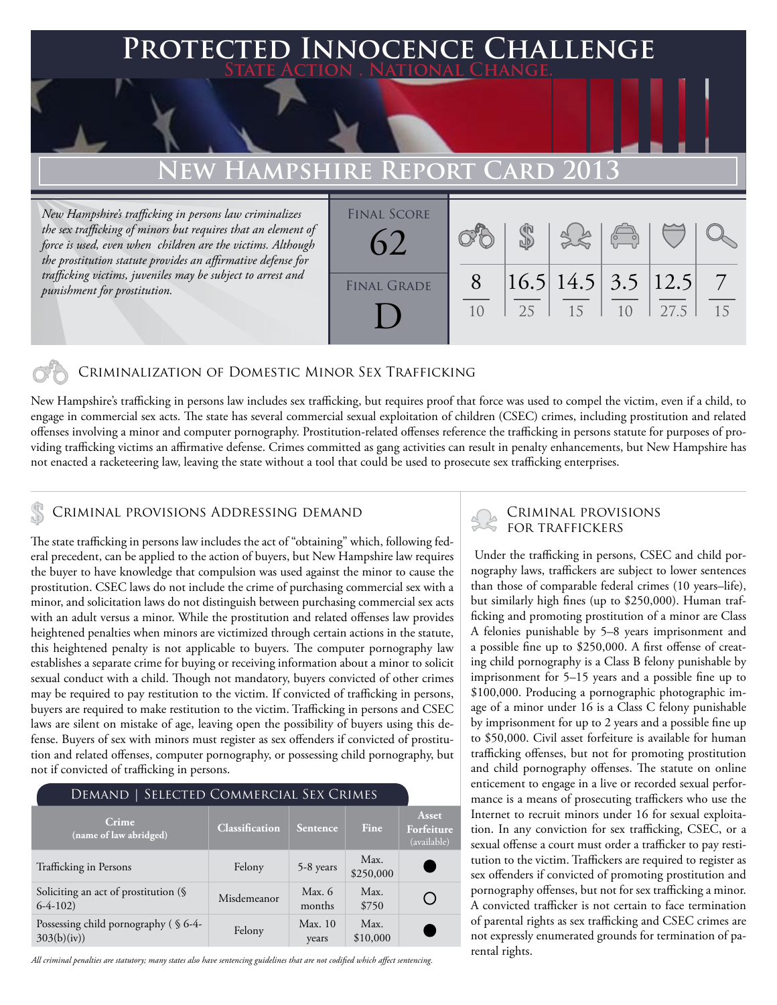#### **FECTED INNOCENCE CHALLENGE State Action . National Change. New Hampshire Report Card 2013** *New Hampshire's trafficking in persons law criminalizes the sex trafficking of minors but requires that an element of force is used, even when children are the victims. Although the prostitution statute provides an affirmative defense for trafficking victims, juveniles may be subject to arrest and punishment for prostitution.* 10 8 25 \$ 16.5 15 14.5 10 3.5 27.5 12.5 15 7 Final Score FINAL GRADE 62 D

### Criminalization of Domestic Minor Sex Trafficking

New Hampshire's trafficking in persons law includes sex trafficking, but requires proof that force was used to compel the victim, even if a child, to engage in commercial sex acts. The state has several commercial sexual exploitation of children (CSEC) crimes, including prostitution and related offenses involving a minor and computer pornography. Prostitution-related offenses reference the trafficking in persons statute for purposes of providing trafficking victims an affirmative defense. Crimes committed as gang activities can result in penalty enhancements, but New Hampshire has not enacted a racketeering law, leaving the state without a tool that could be used to prosecute sex trafficking enterprises.

## CRIMINAL PROVISIONS ADDRESSING DEMAND<br>FOR TRAFFICKERS

The state trafficking in persons law includes the act of "obtaining" which, following federal precedent, can be applied to the action of buyers, but New Hampshire law requires the buyer to have knowledge that compulsion was used against the minor to cause the prostitution. CSEC laws do not include the crime of purchasing commercial sex with a minor, and solicitation laws do not distinguish between purchasing commercial sex acts with an adult versus a minor. While the prostitution and related offenses law provides heightened penalties when minors are victimized through certain actions in the statute, this heightened penalty is not applicable to buyers. The computer pornography law establishes a separate crime for buying or receiving information about a minor to solicit sexual conduct with a child. Though not mandatory, buyers convicted of other crimes may be required to pay restitution to the victim. If convicted of trafficking in persons, buyers are required to make restitution to the victim. Trafficking in persons and CSEC laws are silent on mistake of age, leaving open the possibility of buyers using this defense. Buyers of sex with minors must register as sex offenders if convicted of prostitution and related offenses, computer pornography, or possessing child pornography, but not if convicted of trafficking in persons.

| DEMAND   SELECTED COMMERCIAL SEX CRIMES              |                       |                  |                   |                                    |
|------------------------------------------------------|-----------------------|------------------|-------------------|------------------------------------|
| Crime<br>(name of law abridged)                      | <b>Classification</b> | Sentence         | <b>Fine</b>       | Asset<br>Forfeiture<br>(available) |
| Trafficking in Persons                               | Felony                | 5-8 years        | Max.<br>\$250,000 |                                    |
| Soliciting an act of prostitution $(\S$<br>$6-4-102$ | Misdemeanor           | Max. 6<br>months | Max.<br>\$750     |                                    |
| Possessing child pornography (§ 6-4-<br>303(b)(iv)   | Felony                | Max. 10<br>years | Max.<br>\$10,000  |                                    |

*All criminal penalties are statutory; many states also have sentencing guidelines that are not codified which affect sentencing.* 

# Criminal provisions

 Under the trafficking in persons, CSEC and child pornography laws, traffickers are subject to lower sentences than those of comparable federal crimes (10 years–life), but similarly high fines (up to \$250,000). Human trafficking and promoting prostitution of a minor are Class A felonies punishable by 5–8 years imprisonment and a possible fine up to \$250,000. A first offense of creating child pornography is a Class B felony punishable by imprisonment for 5–15 years and a possible fine up to \$100,000. Producing a pornographic photographic image of a minor under 16 is a Class C felony punishable by imprisonment for up to 2 years and a possible fine up to \$50,000. Civil asset forfeiture is available for human trafficking offenses, but not for promoting prostitution and child pornography offenses. The statute on online enticement to engage in a live or recorded sexual performance is a means of prosecuting traffickers who use the Internet to recruit minors under 16 for sexual exploitation. In any conviction for sex trafficking, CSEC, or a sexual offense a court must order a trafficker to pay restitution to the victim. Traffickers are required to register as sex offenders if convicted of promoting prostitution and pornography offenses, but not for sex trafficking a minor. A convicted trafficker is not certain to face termination of parental rights as sex trafficking and CSEC crimes are not expressly enumerated grounds for termination of parental rights.